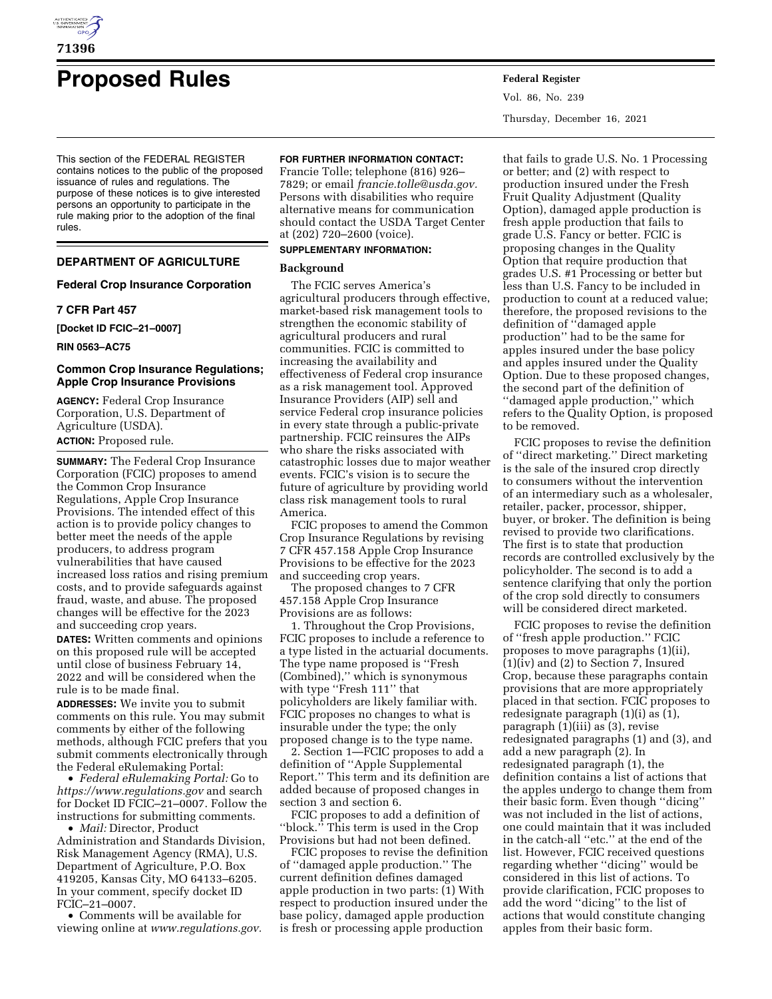

# **Proposed Rules Federal Register**

This section of the FEDERAL REGISTER contains notices to the public of the proposed issuance of rules and regulations. The purpose of these notices is to give interested persons an opportunity to participate in the rule making prior to the adoption of the final rules.

## **DEPARTMENT OF AGRICULTURE**

## **Federal Crop Insurance Corporation**

# **7 CFR Part 457**

**[Docket ID FCIC–21–0007]** 

**RIN 0563–AC75** 

## **Common Crop Insurance Regulations; Apple Crop Insurance Provisions**

**AGENCY:** Federal Crop Insurance Corporation, U.S. Department of Agriculture (USDA). **ACTION:** Proposed rule.

**SUMMARY:** The Federal Crop Insurance Corporation (FCIC) proposes to amend the Common Crop Insurance Regulations, Apple Crop Insurance Provisions. The intended effect of this action is to provide policy changes to better meet the needs of the apple producers, to address program vulnerabilities that have caused increased loss ratios and rising premium costs, and to provide safeguards against fraud, waste, and abuse. The proposed changes will be effective for the 2023 and succeeding crop years.

**DATES:** Written comments and opinions on this proposed rule will be accepted until close of business February 14, 2022 and will be considered when the rule is to be made final.

**ADDRESSES:** We invite you to submit comments on this rule. You may submit comments by either of the following methods, although FCIC prefers that you submit comments electronically through the Federal eRulemaking Portal:

• *Federal eRulemaking Portal:* Go to *<https://www.regulations.gov>* and search for Docket ID FCIC–21–0007. Follow the instructions for submitting comments.

• *Mail:* Director, Product Administration and Standards Division, Risk Management Agency (RMA), U.S. Department of Agriculture, P.O. Box 419205, Kansas City, MO 64133–6205. In your comment, specify docket ID FCIC–21–0007.

• Comments will be available for viewing online at *[www.regulations.gov.](http://www.regulations.gov)* 

## **FOR FURTHER INFORMATION CONTACT:**

Francie Tolle; telephone (816) 926– 7829; or email *[francie.tolle@usda.gov.](mailto:francie.tolle@usda.gov)*  Persons with disabilities who require alternative means for communication should contact the USDA Target Center at (202) 720–2600 (voice).

# **SUPPLEMENTARY INFORMATION:**

# **Background**

The FCIC serves America's agricultural producers through effective, market-based risk management tools to strengthen the economic stability of agricultural producers and rural communities. FCIC is committed to increasing the availability and effectiveness of Federal crop insurance as a risk management tool. Approved Insurance Providers (AIP) sell and service Federal crop insurance policies in every state through a public-private partnership. FCIC reinsures the AIPs who share the risks associated with catastrophic losses due to major weather events. FCIC's vision is to secure the future of agriculture by providing world class risk management tools to rural America.

FCIC proposes to amend the Common Crop Insurance Regulations by revising 7 CFR 457.158 Apple Crop Insurance Provisions to be effective for the 2023 and succeeding crop years.

The proposed changes to 7 CFR 457.158 Apple Crop Insurance Provisions are as follows:

1. Throughout the Crop Provisions, FCIC proposes to include a reference to a type listed in the actuarial documents. The type name proposed is ''Fresh (Combined),'' which is synonymous with type ''Fresh 111'' that policyholders are likely familiar with. FCIC proposes no changes to what is insurable under the type; the only proposed change is to the type name.

2. Section 1—FCIC proposes to add a definition of ''Apple Supplemental Report.'' This term and its definition are added because of proposed changes in section 3 and section 6.

FCIC proposes to add a definition of ''block.'' This term is used in the Crop Provisions but had not been defined.

FCIC proposes to revise the definition of ''damaged apple production.'' The current definition defines damaged apple production in two parts: (1) With respect to production insured under the base policy, damaged apple production is fresh or processing apple production

Vol. 86, No. 239 Thursday, December 16, 2021

that fails to grade U.S. No. 1 Processing or better; and (2) with respect to production insured under the Fresh Fruit Quality Adjustment (Quality Option), damaged apple production is fresh apple production that fails to grade U.S. Fancy or better. FCIC is proposing changes in the Quality Option that require production that grades U.S. #1 Processing or better but less than U.S. Fancy to be included in production to count at a reduced value; therefore, the proposed revisions to the definition of ''damaged apple production'' had to be the same for apples insured under the base policy and apples insured under the Quality Option. Due to these proposed changes, the second part of the definition of ''damaged apple production,'' which refers to the Quality Option, is proposed to be removed.

FCIC proposes to revise the definition of ''direct marketing.'' Direct marketing is the sale of the insured crop directly to consumers without the intervention of an intermediary such as a wholesaler, retailer, packer, processor, shipper, buyer, or broker. The definition is being revised to provide two clarifications. The first is to state that production records are controlled exclusively by the policyholder. The second is to add a sentence clarifying that only the portion of the crop sold directly to consumers will be considered direct marketed.

FCIC proposes to revise the definition of ''fresh apple production.'' FCIC proposes to move paragraphs (1)(ii), (1)(iv) and (2) to Section 7, Insured Crop, because these paragraphs contain provisions that are more appropriately placed in that section. FCIC proposes to redesignate paragraph (1)(i) as (1), paragraph  $(1)(iii)$  as  $(3)$ , revise redesignated paragraphs (1) and (3), and add a new paragraph (2). In redesignated paragraph (1), the definition contains a list of actions that the apples undergo to change them from their basic form. Even though ''dicing'' was not included in the list of actions, one could maintain that it was included in the catch-all ''etc.'' at the end of the list. However, FCIC received questions regarding whether ''dicing'' would be considered in this list of actions. To provide clarification, FCIC proposes to add the word ''dicing'' to the list of actions that would constitute changing apples from their basic form.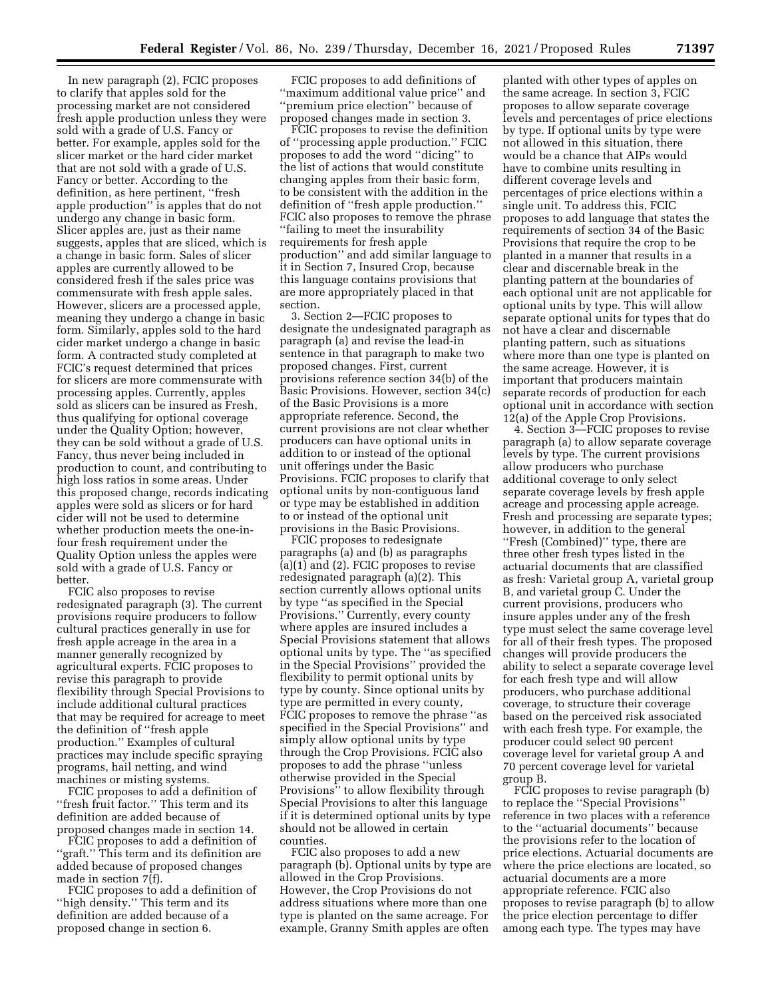In new paragraph (2), FCIC proposes to clarify that apples sold for the processing market are not considered fresh apple production unless they were sold with a grade of U.S. Fancy or better. For example, apples sold for the slicer market or the hard cider market that are not sold with a grade of U.S. Fancy or better. According to the definition, as here pertinent, ''fresh apple production'' is apples that do not undergo any change in basic form. Slicer apples are, just as their name suggests, apples that are sliced, which is a change in basic form. Sales of slicer apples are currently allowed to be considered fresh if the sales price was commensurate with fresh apple sales. However, slicers are a processed apple, meaning they undergo a change in basic form. Similarly, apples sold to the hard cider market undergo a change in basic form. A contracted study completed at FCIC's request determined that prices for slicers are more commensurate with processing apples. Currently, apples sold as slicers can be insured as Fresh, thus qualifying for optional coverage under the Quality Option; however, they can be sold without a grade of U.S. Fancy, thus never being included in production to count, and contributing to high loss ratios in some areas. Under this proposed change, records indicating apples were sold as slicers or for hard cider will not be used to determine whether production meets the one-infour fresh requirement under the Quality Option unless the apples were sold with a grade of U.S. Fancy or better.

FCIC also proposes to revise redesignated paragraph (3). The current provisions require producers to follow cultural practices generally in use for fresh apple acreage in the area in a manner generally recognized by agricultural experts. FCIC proposes to revise this paragraph to provide flexibility through Special Provisions to include additional cultural practices that may be required for acreage to meet the definition of ''fresh apple production.'' Examples of cultural practices may include specific spraying programs, hail netting, and wind machines or misting systems.

FCIC proposes to add a definition of ''fresh fruit factor.'' This term and its definition are added because of proposed changes made in section 14.

FCIC proposes to add a definition of "graft." This term and its definition are added because of proposed changes made in section 7(f).

FCIC proposes to add a definition of ''high density.'' This term and its definition are added because of a proposed change in section 6.

FCIC proposes to add definitions of ''maximum additional value price'' and ''premium price election'' because of proposed changes made in section 3.

FCIC proposes to revise the definition of ''processing apple production.'' FCIC proposes to add the word ''dicing'' to the list of actions that would constitute changing apples from their basic form, to be consistent with the addition in the definition of ''fresh apple production.'' FCIC also proposes to remove the phrase ''failing to meet the insurability requirements for fresh apple production'' and add similar language to it in Section 7, Insured Crop, because this language contains provisions that are more appropriately placed in that section.

3. Section 2—FCIC proposes to designate the undesignated paragraph as paragraph (a) and revise the lead-in sentence in that paragraph to make two proposed changes. First, current provisions reference section 34(b) of the Basic Provisions. However, section 34(c) of the Basic Provisions is a more appropriate reference. Second, the current provisions are not clear whether producers can have optional units in addition to or instead of the optional unit offerings under the Basic Provisions. FCIC proposes to clarify that optional units by non-contiguous land or type may be established in addition to or instead of the optional unit provisions in the Basic Provisions.

FCIC proposes to redesignate paragraphs (a) and (b) as paragraphs (a)(1) and (2). FCIC proposes to revise redesignated paragraph (a)(2). This section currently allows optional units by type ''as specified in the Special Provisions.'' Currently, every county where apples are insured includes a Special Provisions statement that allows optional units by type. The ''as specified in the Special Provisions'' provided the flexibility to permit optional units by type by county. Since optional units by type are permitted in every county, FCIC proposes to remove the phrase ''as specified in the Special Provisions'' and simply allow optional units by type through the Crop Provisions. FCIC also proposes to add the phrase ''unless otherwise provided in the Special Provisions'' to allow flexibility through Special Provisions to alter this language if it is determined optional units by type should not be allowed in certain counties.

FCIC also proposes to add a new paragraph (b). Optional units by type are allowed in the Crop Provisions. However, the Crop Provisions do not address situations where more than one type is planted on the same acreage. For example, Granny Smith apples are often

planted with other types of apples on the same acreage. In section 3, FCIC proposes to allow separate coverage levels and percentages of price elections by type. If optional units by type were not allowed in this situation, there would be a chance that AIPs would have to combine units resulting in different coverage levels and percentages of price elections within a single unit. To address this, FCIC proposes to add language that states the requirements of section 34 of the Basic Provisions that require the crop to be planted in a manner that results in a clear and discernable break in the planting pattern at the boundaries of each optional unit are not applicable for optional units by type. This will allow separate optional units for types that do not have a clear and discernable planting pattern, such as situations where more than one type is planted on the same acreage. However, it is important that producers maintain separate records of production for each optional unit in accordance with section 12(a) of the Apple Crop Provisions.

4. Section 3—FCIC proposes to revise paragraph (a) to allow separate coverage levels by type. The current provisions allow producers who purchase additional coverage to only select separate coverage levels by fresh apple acreage and processing apple acreage. Fresh and processing are separate types; however, in addition to the general ''Fresh (Combined)'' type, there are three other fresh types listed in the actuarial documents that are classified as fresh: Varietal group A, varietal group B, and varietal group C. Under the current provisions, producers who insure apples under any of the fresh type must select the same coverage level for all of their fresh types. The proposed changes will provide producers the ability to select a separate coverage level for each fresh type and will allow producers, who purchase additional coverage, to structure their coverage based on the perceived risk associated with each fresh type. For example, the producer could select 90 percent coverage level for varietal group A and 70 percent coverage level for varietal group B.

FCIC proposes to revise paragraph (b) to replace the ''Special Provisions'' reference in two places with a reference to the ''actuarial documents'' because the provisions refer to the location of price elections. Actuarial documents are where the price elections are located, so actuarial documents are a more appropriate reference. FCIC also proposes to revise paragraph (b) to allow the price election percentage to differ among each type. The types may have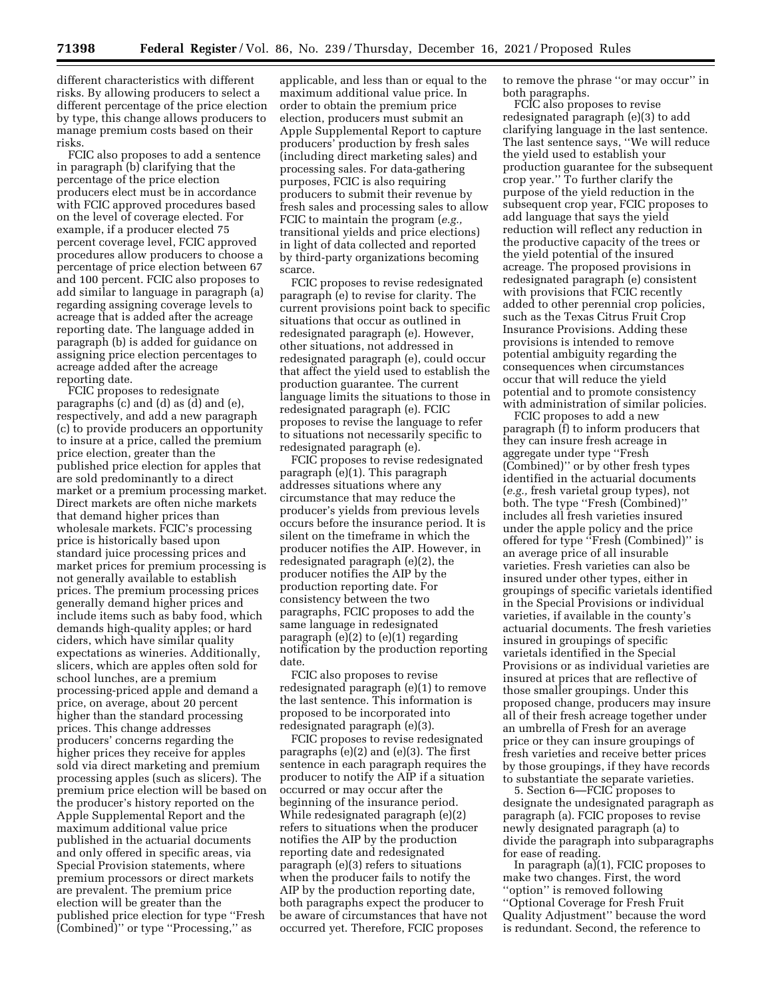**71398 Federal Register** / Vol. 86, No. 239 / Thursday, December 16, 2021 / Proposed Rules

different characteristics with different risks. By allowing producers to select a different percentage of the price election by type, this change allows producers to manage premium costs based on their risks.

FCIC also proposes to add a sentence in paragraph (b) clarifying that the percentage of the price election producers elect must be in accordance with FCIC approved procedures based on the level of coverage elected. For example, if a producer elected 75 percent coverage level, FCIC approved procedures allow producers to choose a percentage of price election between 67 and 100 percent. FCIC also proposes to add similar to language in paragraph (a) regarding assigning coverage levels to acreage that is added after the acreage reporting date. The language added in paragraph (b) is added for guidance on assigning price election percentages to acreage added after the acreage reporting date.

FCIC proposes to redesignate paragraphs (c) and (d) as (d) and (e), respectively, and add a new paragraph (c) to provide producers an opportunity to insure at a price, called the premium price election, greater than the published price election for apples that are sold predominantly to a direct market or a premium processing market. Direct markets are often niche markets that demand higher prices than wholesale markets. FCIC's processing price is historically based upon standard juice processing prices and market prices for premium processing is not generally available to establish prices. The premium processing prices generally demand higher prices and include items such as baby food, which demands high-quality apples; or hard ciders, which have similar quality expectations as wineries. Additionally, slicers, which are apples often sold for school lunches, are a premium processing-priced apple and demand a price, on average, about 20 percent higher than the standard processing prices. This change addresses producers' concerns regarding the higher prices they receive for apples sold via direct marketing and premium processing apples (such as slicers). The premium price election will be based on the producer's history reported on the Apple Supplemental Report and the maximum additional value price published in the actuarial documents and only offered in specific areas, via Special Provision statements, where premium processors or direct markets are prevalent. The premium price election will be greater than the published price election for type ''Fresh (Combined)'' or type ''Processing,'' as

applicable, and less than or equal to the maximum additional value price. In order to obtain the premium price election, producers must submit an Apple Supplemental Report to capture producers' production by fresh sales (including direct marketing sales) and processing sales. For data-gathering purposes, FCIC is also requiring producers to submit their revenue by fresh sales and processing sales to allow FCIC to maintain the program (*e.g.,*  transitional yields and price elections) in light of data collected and reported by third-party organizations becoming scarce.

FCIC proposes to revise redesignated paragraph (e) to revise for clarity. The current provisions point back to specific situations that occur as outlined in redesignated paragraph (e). However, other situations, not addressed in redesignated paragraph (e), could occur that affect the yield used to establish the production guarantee. The current language limits the situations to those in redesignated paragraph (e). FCIC proposes to revise the language to refer to situations not necessarily specific to redesignated paragraph (e).

FCIC proposes to revise redesignated paragraph (e)(1). This paragraph addresses situations where any circumstance that may reduce the producer's yields from previous levels occurs before the insurance period. It is silent on the timeframe in which the producer notifies the AIP. However, in redesignated paragraph (e)(2), the producer notifies the AIP by the production reporting date. For consistency between the two paragraphs, FCIC proposes to add the same language in redesignated paragraph  $(e)(2)$  to  $(e)(1)$  regarding notification by the production reporting date.

FCIC also proposes to revise redesignated paragraph (e)(1) to remove the last sentence. This information is proposed to be incorporated into redesignated paragraph (e)(3).

FCIC proposes to revise redesignated paragraphs (e)(2) and (e)(3). The first sentence in each paragraph requires the producer to notify the AIP if a situation occurred or may occur after the beginning of the insurance period. While redesignated paragraph (e)(2) refers to situations when the producer notifies the AIP by the production reporting date and redesignated paragraph (e)(3) refers to situations when the producer fails to notify the AIP by the production reporting date, both paragraphs expect the producer to be aware of circumstances that have not occurred yet. Therefore, FCIC proposes

to remove the phrase ''or may occur'' in both paragraphs.

FCIC also proposes to revise redesignated paragraph (e)(3) to add clarifying language in the last sentence. The last sentence says, ''We will reduce the yield used to establish your production guarantee for the subsequent crop year.'' To further clarify the purpose of the yield reduction in the subsequent crop year, FCIC proposes to add language that says the yield reduction will reflect any reduction in the productive capacity of the trees or the yield potential of the insured acreage. The proposed provisions in redesignated paragraph (e) consistent with provisions that FCIC recently added to other perennial crop policies, such as the Texas Citrus Fruit Crop Insurance Provisions. Adding these provisions is intended to remove potential ambiguity regarding the consequences when circumstances occur that will reduce the yield potential and to promote consistency with administration of similar policies.

FCIC proposes to add a new paragraph (f) to inform producers that they can insure fresh acreage in aggregate under type ''Fresh (Combined)'' or by other fresh types identified in the actuarial documents (*e.g.,* fresh varietal group types), not both. The type ''Fresh (Combined)'' includes all fresh varieties insured under the apple policy and the price offered for type ''Fresh (Combined)'' is an average price of all insurable varieties. Fresh varieties can also be insured under other types, either in groupings of specific varietals identified in the Special Provisions or individual varieties, if available in the county's actuarial documents. The fresh varieties insured in groupings of specific varietals identified in the Special Provisions or as individual varieties are insured at prices that are reflective of those smaller groupings. Under this proposed change, producers may insure all of their fresh acreage together under an umbrella of Fresh for an average price or they can insure groupings of fresh varieties and receive better prices by those groupings, if they have records to substantiate the separate varieties.

5. Section 6—FCIC proposes to designate the undesignated paragraph as paragraph (a). FCIC proposes to revise newly designated paragraph (a) to divide the paragraph into subparagraphs for ease of reading.

In paragraph  $(a)(1)$ , FCIC proposes to make two changes. First, the word ''option'' is removed following ''Optional Coverage for Fresh Fruit Quality Adjustment'' because the word is redundant. Second, the reference to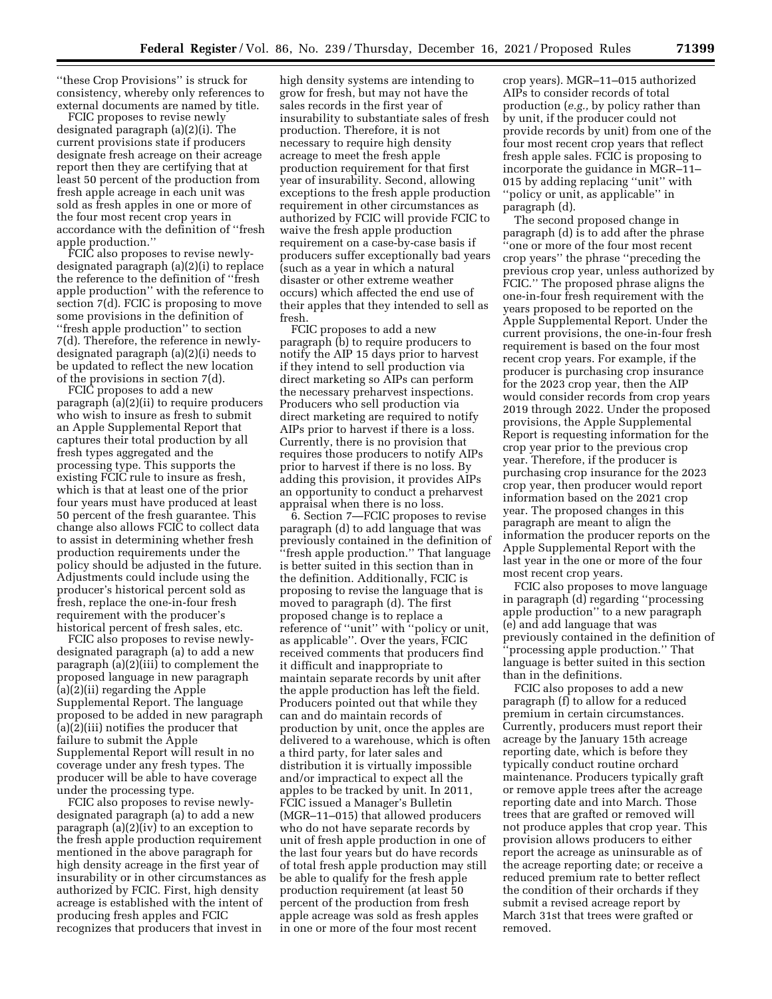''these Crop Provisions'' is struck for consistency, whereby only references to external documents are named by title.

FCIC proposes to revise newly designated paragraph (a)(2)(i). The current provisions state if producers designate fresh acreage on their acreage report then they are certifying that at least 50 percent of the production from fresh apple acreage in each unit was sold as fresh apples in one or more of the four most recent crop years in accordance with the definition of ''fresh apple production.''

FCIC also proposes to revise newlydesignated paragraph (a)(2)(i) to replace the reference to the definition of ''fresh apple production'' with the reference to section 7(d). FCIC is proposing to move some provisions in the definition of ''fresh apple production'' to section 7(d). Therefore, the reference in newlydesignated paragraph (a)(2)(i) needs to be updated to reflect the new location of the provisions in section 7(d).

FCIC proposes to add a new paragraph (a)(2)(ii) to require producers who wish to insure as fresh to submit an Apple Supplemental Report that captures their total production by all fresh types aggregated and the processing type. This supports the existing FCIC rule to insure as fresh, which is that at least one of the prior four years must have produced at least 50 percent of the fresh guarantee. This change also allows FCIC to collect data to assist in determining whether fresh production requirements under the policy should be adjusted in the future. Adjustments could include using the producer's historical percent sold as fresh, replace the one-in-four fresh requirement with the producer's historical percent of fresh sales, etc.

FCIC also proposes to revise newlydesignated paragraph (a) to add a new paragraph (a)(2)(iii) to complement the proposed language in new paragraph (a)(2)(ii) regarding the Apple Supplemental Report. The language proposed to be added in new paragraph (a)(2)(iii) notifies the producer that failure to submit the Apple Supplemental Report will result in no coverage under any fresh types. The producer will be able to have coverage under the processing type.

FCIC also proposes to revise newlydesignated paragraph (a) to add a new paragraph (a)(2)(iv) to an exception to the fresh apple production requirement mentioned in the above paragraph for high density acreage in the first year of insurability or in other circumstances as authorized by FCIC. First, high density acreage is established with the intent of producing fresh apples and FCIC recognizes that producers that invest in

high density systems are intending to grow for fresh, but may not have the sales records in the first year of insurability to substantiate sales of fresh production. Therefore, it is not necessary to require high density acreage to meet the fresh apple production requirement for that first year of insurability. Second, allowing exceptions to the fresh apple production requirement in other circumstances as authorized by FCIC will provide FCIC to waive the fresh apple production requirement on a case-by-case basis if producers suffer exceptionally bad years (such as a year in which a natural disaster or other extreme weather occurs) which affected the end use of their apples that they intended to sell as fresh.

FCIC proposes to add a new paragraph (b) to require producers to notify the AIP 15 days prior to harvest if they intend to sell production via direct marketing so AIPs can perform the necessary preharvest inspections. Producers who sell production via direct marketing are required to notify AIPs prior to harvest if there is a loss. Currently, there is no provision that requires those producers to notify AIPs prior to harvest if there is no loss. By adding this provision, it provides AIPs an opportunity to conduct a preharvest appraisal when there is no loss.

6. Section 7—FCIC proposes to revise paragraph (d) to add language that was previously contained in the definition of ''fresh apple production.'' That language is better suited in this section than in the definition. Additionally, FCIC is proposing to revise the language that is moved to paragraph (d). The first proposed change is to replace a reference of ''unit'' with ''policy or unit, as applicable''. Over the years, FCIC received comments that producers find it difficult and inappropriate to maintain separate records by unit after the apple production has left the field. Producers pointed out that while they can and do maintain records of production by unit, once the apples are delivered to a warehouse, which is often a third party, for later sales and distribution it is virtually impossible and/or impractical to expect all the apples to be tracked by unit. In 2011, FCIC issued a Manager's Bulletin (MGR–11–015) that allowed producers who do not have separate records by unit of fresh apple production in one of the last four years but do have records of total fresh apple production may still be able to qualify for the fresh apple production requirement (at least 50 percent of the production from fresh apple acreage was sold as fresh apples in one or more of the four most recent

crop years). MGR–11–015 authorized AIPs to consider records of total production (*e.g.,* by policy rather than by unit, if the producer could not provide records by unit) from one of the four most recent crop years that reflect fresh apple sales. FCIC is proposing to incorporate the guidance in MGR–11– 015 by adding replacing ''unit'' with ''policy or unit, as applicable'' in paragraph (d).

The second proposed change in paragraph (d) is to add after the phrase ''one or more of the four most recent crop years'' the phrase ''preceding the previous crop year, unless authorized by FCIC.'' The proposed phrase aligns the one-in-four fresh requirement with the years proposed to be reported on the Apple Supplemental Report. Under the current provisions, the one-in-four fresh requirement is based on the four most recent crop years. For example, if the producer is purchasing crop insurance for the 2023 crop year, then the AIP would consider records from crop years 2019 through 2022. Under the proposed provisions, the Apple Supplemental Report is requesting information for the crop year prior to the previous crop year. Therefore, if the producer is purchasing crop insurance for the 2023 crop year, then producer would report information based on the 2021 crop year. The proposed changes in this paragraph are meant to align the information the producer reports on the Apple Supplemental Report with the last year in the one or more of the four most recent crop years.

FCIC also proposes to move language in paragraph (d) regarding ''processing apple production'' to a new paragraph (e) and add language that was previously contained in the definition of ''processing apple production.'' That language is better suited in this section than in the definitions.

FCIC also proposes to add a new paragraph (f) to allow for a reduced premium in certain circumstances. Currently, producers must report their acreage by the January 15th acreage reporting date, which is before they typically conduct routine orchard maintenance. Producers typically graft or remove apple trees after the acreage reporting date and into March. Those trees that are grafted or removed will not produce apples that crop year. This provision allows producers to either report the acreage as uninsurable as of the acreage reporting date; or receive a reduced premium rate to better reflect the condition of their orchards if they submit a revised acreage report by March 31st that trees were grafted or removed.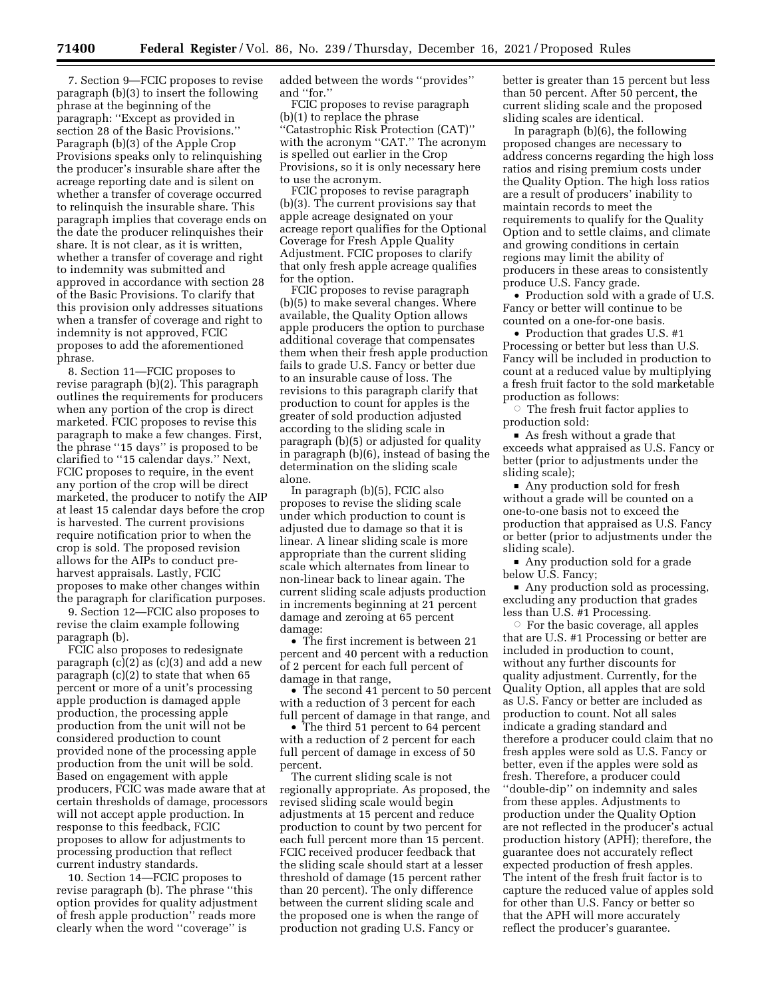7. Section 9—FCIC proposes to revise paragraph (b)(3) to insert the following phrase at the beginning of the paragraph: ''Except as provided in section 28 of the Basic Provisions.'' Paragraph (b)(3) of the Apple Crop Provisions speaks only to relinquishing the producer's insurable share after the acreage reporting date and is silent on whether a transfer of coverage occurred to relinquish the insurable share. This paragraph implies that coverage ends on the date the producer relinquishes their share. It is not clear, as it is written, whether a transfer of coverage and right to indemnity was submitted and approved in accordance with section 28 of the Basic Provisions. To clarify that this provision only addresses situations when a transfer of coverage and right to indemnity is not approved, FCIC proposes to add the aforementioned phrase.

8. Section 11—FCIC proposes to revise paragraph (b)(2). This paragraph outlines the requirements for producers when any portion of the crop is direct marketed. FCIC proposes to revise this paragraph to make a few changes. First, the phrase ''15 days'' is proposed to be clarified to ''15 calendar days.'' Next, FCIC proposes to require, in the event any portion of the crop will be direct marketed, the producer to notify the AIP at least 15 calendar days before the crop is harvested. The current provisions require notification prior to when the crop is sold. The proposed revision allows for the AIPs to conduct preharvest appraisals. Lastly, FCIC proposes to make other changes within the paragraph for clarification purposes.

9. Section 12—FCIC also proposes to revise the claim example following paragraph (b).

FCIC also proposes to redesignate paragraph (c)(2) as (c)(3) and add a new paragraph (c)(2) to state that when 65 percent or more of a unit's processing apple production is damaged apple production, the processing apple production from the unit will not be considered production to count provided none of the processing apple production from the unit will be sold. Based on engagement with apple producers, FCIC was made aware that at certain thresholds of damage, processors will not accept apple production. In response to this feedback, FCIC proposes to allow for adjustments to processing production that reflect current industry standards.

10. Section 14—FCIC proposes to revise paragraph (b). The phrase ''this option provides for quality adjustment of fresh apple production'' reads more clearly when the word ''coverage'' is

added between the words ''provides'' and ''for.''

FCIC proposes to revise paragraph (b)(1) to replace the phrase ''Catastrophic Risk Protection (CAT)'' with the acronym "CAT." The acronym is spelled out earlier in the Crop Provisions, so it is only necessary here to use the acronym.

FCIC proposes to revise paragraph (b)(3). The current provisions say that apple acreage designated on your acreage report qualifies for the Optional Coverage for Fresh Apple Quality Adjustment. FCIC proposes to clarify that only fresh apple acreage qualifies for the option.

FCIC proposes to revise paragraph (b)(5) to make several changes. Where available, the Quality Option allows apple producers the option to purchase additional coverage that compensates them when their fresh apple production fails to grade U.S. Fancy or better due to an insurable cause of loss. The revisions to this paragraph clarify that production to count for apples is the greater of sold production adjusted according to the sliding scale in paragraph (b)(5) or adjusted for quality in paragraph (b)(6), instead of basing the determination on the sliding scale alone.

In paragraph (b)(5), FCIC also proposes to revise the sliding scale under which production to count is adjusted due to damage so that it is linear. A linear sliding scale is more appropriate than the current sliding scale which alternates from linear to non-linear back to linear again. The current sliding scale adjusts production in increments beginning at 21 percent damage and zeroing at 65 percent damage:

• The first increment is between 21 percent and 40 percent with a reduction of 2 percent for each full percent of damage in that range,

• The second 41 percent to 50 percent with a reduction of 3 percent for each full percent of damage in that range, and

• The third 51 percent to 64 percent with a reduction of 2 percent for each full percent of damage in excess of 50 percent.

The current sliding scale is not regionally appropriate. As proposed, the revised sliding scale would begin adjustments at 15 percent and reduce production to count by two percent for each full percent more than 15 percent. FCIC received producer feedback that the sliding scale should start at a lesser threshold of damage (15 percent rather than 20 percent). The only difference between the current sliding scale and the proposed one is when the range of production not grading U.S. Fancy or

better is greater than 15 percent but less than 50 percent. After 50 percent, the current sliding scale and the proposed sliding scales are identical.

In paragraph (b)(6), the following proposed changes are necessary to address concerns regarding the high loss ratios and rising premium costs under the Quality Option. The high loss ratios are a result of producers' inability to maintain records to meet the requirements to qualify for the Quality Option and to settle claims, and climate and growing conditions in certain regions may limit the ability of producers in these areas to consistently produce U.S. Fancy grade.

• Production sold with a grade of U.S. Fancy or better will continue to be counted on a one-for-one basis.

• Production that grades U.S. #1 Processing or better but less than U.S. Fancy will be included in production to count at a reduced value by multiplying a fresh fruit factor to the sold marketable production as follows:

 $\circ$  The fresh fruit factor applies to production sold:

As fresh without a grade that exceeds what appraised as U.S. Fancy or better (prior to adjustments under the sliding scale);

• Any production sold for fresh without a grade will be counted on a one-to-one basis not to exceed the production that appraised as U.S. Fancy or better (prior to adjustments under the sliding scale).

• Any production sold for a grade below U.S. Fancy;

 $\blacksquare$  Any production sold as processing, excluding any production that grades less than U.S. #1 Processing.

 $\circ$  For the basic coverage, all apples that are U.S. #1 Processing or better are included in production to count, without any further discounts for quality adjustment. Currently, for the Quality Option, all apples that are sold as U.S. Fancy or better are included as production to count. Not all sales indicate a grading standard and therefore a producer could claim that no fresh apples were sold as U.S. Fancy or better, even if the apples were sold as fresh. Therefore, a producer could ''double-dip'' on indemnity and sales from these apples. Adjustments to production under the Quality Option are not reflected in the producer's actual production history (APH); therefore, the guarantee does not accurately reflect expected production of fresh apples. The intent of the fresh fruit factor is to capture the reduced value of apples sold for other than U.S. Fancy or better so that the APH will more accurately reflect the producer's guarantee.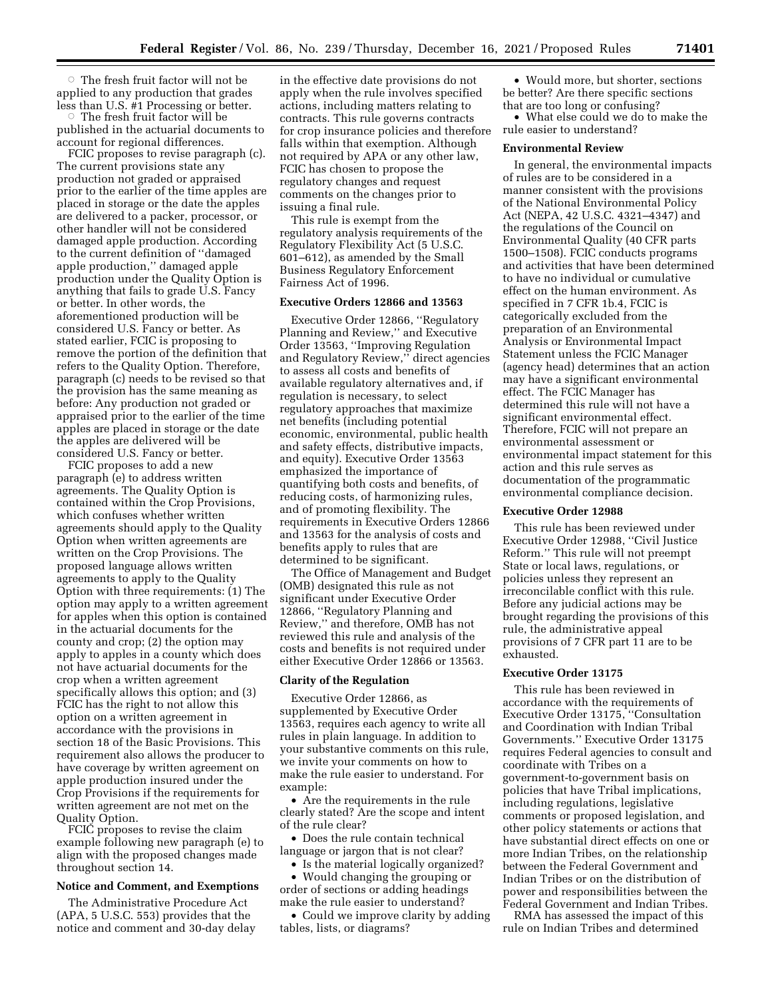$\circ$  The fresh fruit factor will not be applied to any production that grades less than U.S. #1 Processing or better.

 $\circ$  The fresh fruit factor will be published in the actuarial documents to account for regional differences.

FCIC proposes to revise paragraph (c). The current provisions state any production not graded or appraised prior to the earlier of the time apples are placed in storage or the date the apples are delivered to a packer, processor, or other handler will not be considered damaged apple production. According to the current definition of ''damaged apple production,'' damaged apple production under the Quality Option is anything that fails to grade U.S. Fancy or better. In other words, the aforementioned production will be considered U.S. Fancy or better. As stated earlier, FCIC is proposing to remove the portion of the definition that refers to the Quality Option. Therefore, paragraph (c) needs to be revised so that the provision has the same meaning as before: Any production not graded or appraised prior to the earlier of the time apples are placed in storage or the date the apples are delivered will be considered U.S. Fancy or better.

FCIC proposes to add a new paragraph (e) to address written agreements. The Quality Option is contained within the Crop Provisions, which confuses whether written agreements should apply to the Quality Option when written agreements are written on the Crop Provisions. The proposed language allows written agreements to apply to the Quality Option with three requirements: (1) The option may apply to a written agreement for apples when this option is contained in the actuarial documents for the county and crop; (2) the option may apply to apples in a county which does not have actuarial documents for the crop when a written agreement specifically allows this option; and (3) FCIC has the right to not allow this option on a written agreement in accordance with the provisions in section 18 of the Basic Provisions. This requirement also allows the producer to have coverage by written agreement on apple production insured under the Crop Provisions if the requirements for written agreement are not met on the Quality Option.

FCIC proposes to revise the claim example following new paragraph (e) to align with the proposed changes made throughout section 14.

## **Notice and Comment, and Exemptions**

The Administrative Procedure Act (APA, 5 U.S.C. 553) provides that the notice and comment and 30-day delay in the effective date provisions do not apply when the rule involves specified actions, including matters relating to contracts. This rule governs contracts for crop insurance policies and therefore falls within that exemption. Although not required by APA or any other law, FCIC has chosen to propose the regulatory changes and request comments on the changes prior to issuing a final rule.

This rule is exempt from the regulatory analysis requirements of the Regulatory Flexibility Act (5 U.S.C. 601–612), as amended by the Small Business Regulatory Enforcement Fairness Act of 1996.

#### **Executive Orders 12866 and 13563**

Executive Order 12866, ''Regulatory Planning and Review,'' and Executive Order 13563, ''Improving Regulation and Regulatory Review,'' direct agencies to assess all costs and benefits of available regulatory alternatives and, if regulation is necessary, to select regulatory approaches that maximize net benefits (including potential economic, environmental, public health and safety effects, distributive impacts, and equity). Executive Order 13563 emphasized the importance of quantifying both costs and benefits, of reducing costs, of harmonizing rules, and of promoting flexibility. The requirements in Executive Orders 12866 and 13563 for the analysis of costs and benefits apply to rules that are determined to be significant.

The Office of Management and Budget (OMB) designated this rule as not significant under Executive Order 12866, ''Regulatory Planning and Review,'' and therefore, OMB has not reviewed this rule and analysis of the costs and benefits is not required under either Executive Order 12866 or 13563.

## **Clarity of the Regulation**

Executive Order 12866, as supplemented by Executive Order 13563, requires each agency to write all rules in plain language. In addition to your substantive comments on this rule, we invite your comments on how to make the rule easier to understand. For example:

• Are the requirements in the rule clearly stated? Are the scope and intent of the rule clear?

• Does the rule contain technical language or jargon that is not clear?

• Is the material logically organized? • Would changing the grouping or order of sections or adding headings make the rule easier to understand?

• Could we improve clarity by adding tables, lists, or diagrams?

• Would more, but shorter, sections be better? Are there specific sections that are too long or confusing?

• What else could we do to make the rule easier to understand?

#### **Environmental Review**

In general, the environmental impacts of rules are to be considered in a manner consistent with the provisions of the National Environmental Policy Act (NEPA, 42 U.S.C. 4321–4347) and the regulations of the Council on Environmental Quality (40 CFR parts 1500–1508). FCIC conducts programs and activities that have been determined to have no individual or cumulative effect on the human environment. As specified in 7 CFR 1b.4, FCIC is categorically excluded from the preparation of an Environmental Analysis or Environmental Impact Statement unless the FCIC Manager (agency head) determines that an action may have a significant environmental effect. The FCIC Manager has determined this rule will not have a significant environmental effect. Therefore, FCIC will not prepare an environmental assessment or environmental impact statement for this action and this rule serves as documentation of the programmatic environmental compliance decision.

#### **Executive Order 12988**

This rule has been reviewed under Executive Order 12988, ''Civil Justice Reform.'' This rule will not preempt State or local laws, regulations, or policies unless they represent an irreconcilable conflict with this rule. Before any judicial actions may be brought regarding the provisions of this rule, the administrative appeal provisions of 7 CFR part 11 are to be exhausted.

# **Executive Order 13175**

This rule has been reviewed in accordance with the requirements of Executive Order 13175, ''Consultation and Coordination with Indian Tribal Governments.'' Executive Order 13175 requires Federal agencies to consult and coordinate with Tribes on a government-to-government basis on policies that have Tribal implications, including regulations, legislative comments or proposed legislation, and other policy statements or actions that have substantial direct effects on one or more Indian Tribes, on the relationship between the Federal Government and Indian Tribes or on the distribution of power and responsibilities between the Federal Government and Indian Tribes.

RMA has assessed the impact of this rule on Indian Tribes and determined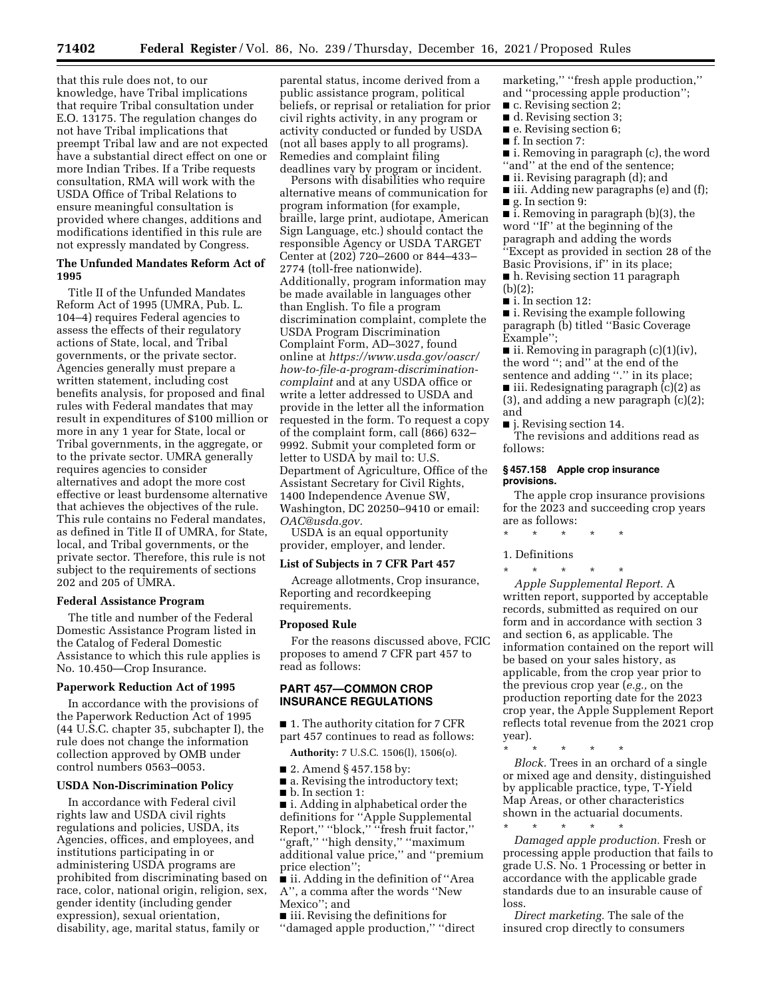that this rule does not, to our knowledge, have Tribal implications that require Tribal consultation under E.O. 13175. The regulation changes do not have Tribal implications that preempt Tribal law and are not expected have a substantial direct effect on one or more Indian Tribes. If a Tribe requests consultation, RMA will work with the USDA Office of Tribal Relations to ensure meaningful consultation is provided where changes, additions and modifications identified in this rule are not expressly mandated by Congress.

## **The Unfunded Mandates Reform Act of 1995**

Title II of the Unfunded Mandates Reform Act of 1995 (UMRA, Pub. L. 104–4) requires Federal agencies to assess the effects of their regulatory actions of State, local, and Tribal governments, or the private sector. Agencies generally must prepare a written statement, including cost benefits analysis, for proposed and final rules with Federal mandates that may result in expenditures of \$100 million or more in any 1 year for State, local or Tribal governments, in the aggregate, or to the private sector. UMRA generally requires agencies to consider alternatives and adopt the more cost effective or least burdensome alternative that achieves the objectives of the rule. This rule contains no Federal mandates, as defined in Title II of UMRA, for State, local, and Tribal governments, or the private sector. Therefore, this rule is not subject to the requirements of sections 202 and 205 of UMRA.

## **Federal Assistance Program**

The title and number of the Federal Domestic Assistance Program listed in the Catalog of Federal Domestic Assistance to which this rule applies is No. 10.450—Crop Insurance.

#### **Paperwork Reduction Act of 1995**

In accordance with the provisions of the Paperwork Reduction Act of 1995 (44 U.S.C. chapter 35, subchapter I), the rule does not change the information collection approved by OMB under control numbers 0563–0053.

#### **USDA Non-Discrimination Policy**

In accordance with Federal civil rights law and USDA civil rights regulations and policies, USDA, its Agencies, offices, and employees, and institutions participating in or administering USDA programs are prohibited from discriminating based on race, color, national origin, religion, sex, gender identity (including gender expression), sexual orientation, disability, age, marital status, family or

parental status, income derived from a public assistance program, political beliefs, or reprisal or retaliation for prior civil rights activity, in any program or activity conducted or funded by USDA (not all bases apply to all programs). Remedies and complaint filing deadlines vary by program or incident.

Persons with disabilities who require alternative means of communication for program information (for example, braille, large print, audiotape, American Sign Language, etc.) should contact the responsible Agency or USDA TARGET Center at (202) 720–2600 or 844–433– 2774 (toll-free nationwide). Additionally, program information may be made available in languages other than English. To file a program discrimination complaint, complete the USDA Program Discrimination Complaint Form, AD–3027, found online at *[https://www.usda.gov/oascr/](https://www.usda.gov/oascr/how-to-file-a-program-discrimination-complaint)  [how-to-file-a-program-discrimination](https://www.usda.gov/oascr/how-to-file-a-program-discrimination-complaint)[complaint](https://www.usda.gov/oascr/how-to-file-a-program-discrimination-complaint)* and at any USDA office or write a letter addressed to USDA and provide in the letter all the information requested in the form. To request a copy of the complaint form, call (866) 632– 9992. Submit your completed form or letter to USDA by mail to: U.S. Department of Agriculture, Office of the Assistant Secretary for Civil Rights, 1400 Independence Avenue SW, Washington, DC 20250–9410 or email: *[OAC@usda.gov.](mailto:OAC@usda.gov)* 

USDA is an equal opportunity provider, employer, and lender.

#### **List of Subjects in 7 CFR Part 457**

Acreage allotments, Crop insurance, Reporting and recordkeeping requirements.

#### **Proposed Rule**

For the reasons discussed above, FCIC proposes to amend 7 CFR part 457 to read as follows:

## **PART 457—COMMON CROP INSURANCE REGULATIONS**

■ 1. The authority citation for 7 CFR part 457 continues to read as follows:

**Authority:** 7 U.S.C. 1506(l), 1506(o).

- 2. Amend § 457.158 by:
- a. Revising the introductory text; ■ b. In section 1:

■ i. Adding in alphabetical order the definitions for ''Apple Supplemental Report,'' ''block,'' ''fresh fruit factor,'' ''graft,'' ''high density,'' ''maximum additional value price,'' and ''premium

price election''; ■ ii. Adding in the definition of "Area A'', a comma after the words ''New Mexico''; and

■ iii. Revising the definitions for

''damaged apple production,'' ''direct

marketing," "fresh apple production," and ''processing apple production'';

- c. Revising section 2;
- d. Revising section 3;
- e. Revising section 6; ■ f. In section 7:
- 
- i. Removing in paragraph (c), the word "and" at the end of the sentence;
- ii. Revising paragraph (d); and
- iii. Adding new paragraphs (e) and (f);
- g. In section 9:

■ i. Removing in paragraph (b)(3), the word ''If'' at the beginning of the paragraph and adding the words ''Except as provided in section 28 of the Basic Provisions, if'' in its place;

■ h. Revising section 11 paragraph (b)(2);

■ i. In section 12:

■ i. Revising the example following paragraph (b) titled ''Basic Coverage Example'';

■ ii. Removing in paragraph (c)(1)(iv), the word ''; and'' at the end of the sentence and adding "." in its place;

■ iii. Redesignating paragraph (c)(2) as (3), and adding a new paragraph (c)(2); and

■ j. Revising section 14. The revisions and additions read as follows:

## **§ 457.158 Apple crop insurance provisions.**

The apple crop insurance provisions for the 2023 and succeeding crop years are as follows:

\* \* \* \* \*

1. Definitions

\* \* \* \* \*

*Apple Supplemental Report.* A written report, supported by acceptable records, submitted as required on our form and in accordance with section 3 and section 6, as applicable. The information contained on the report will be based on your sales history, as applicable, from the crop year prior to the previous crop year (*e.g.,* on the production reporting date for the 2023 crop year, the Apple Supplement Report reflects total revenue from the 2021 crop year).

\* \* \* \* \* *Block.* Trees in an orchard of a single or mixed age and density, distinguished by applicable practice, type, T-Yield Map Areas, or other characteristics shown in the actuarial documents.

\* \* \* \* \*

*Damaged apple production.* Fresh or processing apple production that fails to grade U.S. No. 1 Processing or better in accordance with the applicable grade standards due to an insurable cause of loss.

*Direct marketing.* The sale of the insured crop directly to consumers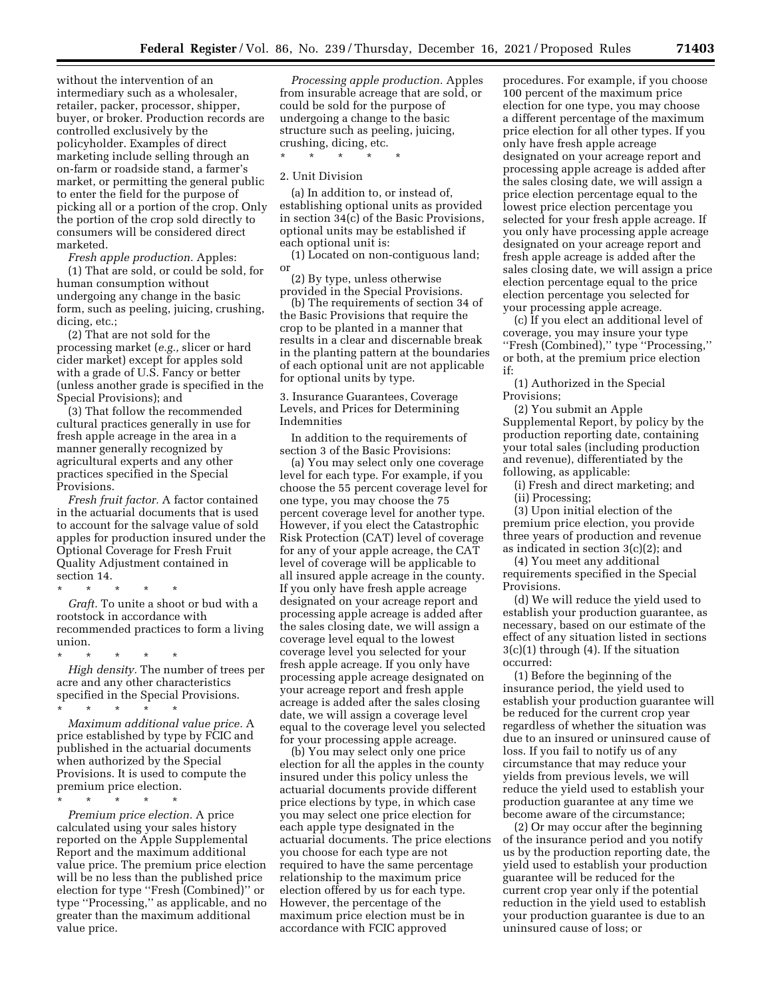without the intervention of an intermediary such as a wholesaler, retailer, packer, processor, shipper, buyer, or broker. Production records are controlled exclusively by the policyholder. Examples of direct marketing include selling through an on-farm or roadside stand, a farmer's market, or permitting the general public to enter the field for the purpose of picking all or a portion of the crop. Only the portion of the crop sold directly to consumers will be considered direct marketed.

*Fresh apple production.* Apples: (1) That are sold, or could be sold, for human consumption without undergoing any change in the basic form, such as peeling, juicing, crushing, dicing, etc.;

(2) That are not sold for the processing market (*e.g.,* slicer or hard cider market) except for apples sold with a grade of U.S. Fancy or better (unless another grade is specified in the Special Provisions); and

(3) That follow the recommended cultural practices generally in use for fresh apple acreage in the area in a manner generally recognized by agricultural experts and any other practices specified in the Special Provisions.

*Fresh fruit factor.* A factor contained in the actuarial documents that is used to account for the salvage value of sold apples for production insured under the Optional Coverage for Fresh Fruit Quality Adjustment contained in section 14.

\* \* \* \* \*

*Graft.* To unite a shoot or bud with a rootstock in accordance with recommended practices to form a living union.

\* \* \* \* \*

*High density.* The number of trees per acre and any other characteristics specified in the Special Provisions. \* \* \* \* \*

*Maximum additional value price.* A price established by type by FCIC and published in the actuarial documents when authorized by the Special Provisions. It is used to compute the premium price election.

\* \* \* \* \*

*Premium price election.* A price calculated using your sales history reported on the Apple Supplemental Report and the maximum additional value price. The premium price election will be no less than the published price election for type ''Fresh (Combined)'' or type ''Processing,'' as applicable, and no greater than the maximum additional value price.

*Processing apple production.* Apples from insurable acreage that are sold, or could be sold for the purpose of undergoing a change to the basic structure such as peeling, juicing, crushing, dicing, etc.

\* \* \* \* \* 2. Unit Division

(a) In addition to, or instead of, establishing optional units as provided in section 34(c) of the Basic Provisions, optional units may be established if each optional unit is:

(1) Located on non-contiguous land; or

(2) By type, unless otherwise provided in the Special Provisions.

(b) The requirements of section 34 of the Basic Provisions that require the crop to be planted in a manner that results in a clear and discernable break in the planting pattern at the boundaries of each optional unit are not applicable for optional units by type.

3. Insurance Guarantees, Coverage Levels, and Prices for Determining Indemnities

In addition to the requirements of section 3 of the Basic Provisions:

(a) You may select only one coverage level for each type. For example, if you choose the 55 percent coverage level for one type, you may choose the 75 percent coverage level for another type. However, if you elect the Catastrophic Risk Protection (CAT) level of coverage for any of your apple acreage, the CAT level of coverage will be applicable to all insured apple acreage in the county. If you only have fresh apple acreage designated on your acreage report and processing apple acreage is added after the sales closing date, we will assign a coverage level equal to the lowest coverage level you selected for your fresh apple acreage. If you only have processing apple acreage designated on your acreage report and fresh apple acreage is added after the sales closing date, we will assign a coverage level equal to the coverage level you selected for your processing apple acreage.

(b) You may select only one price election for all the apples in the county insured under this policy unless the actuarial documents provide different price elections by type, in which case you may select one price election for each apple type designated in the actuarial documents. The price elections you choose for each type are not required to have the same percentage relationship to the maximum price election offered by us for each type. However, the percentage of the maximum price election must be in accordance with FCIC approved

procedures. For example, if you choose 100 percent of the maximum price election for one type, you may choose a different percentage of the maximum price election for all other types. If you only have fresh apple acreage designated on your acreage report and processing apple acreage is added after the sales closing date, we will assign a price election percentage equal to the lowest price election percentage you selected for your fresh apple acreage. If you only have processing apple acreage designated on your acreage report and fresh apple acreage is added after the sales closing date, we will assign a price election percentage equal to the price election percentage you selected for your processing apple acreage.

(c) If you elect an additional level of coverage, you may insure your type ''Fresh (Combined),'' type ''Processing,'' or both, at the premium price election if:

(1) Authorized in the Special Provisions;

(2) You submit an Apple Supplemental Report, by policy by the production reporting date, containing your total sales (including production and revenue), differentiated by the following, as applicable:

(i) Fresh and direct marketing; and (ii) Processing;

(3) Upon initial election of the premium price election, you provide three years of production and revenue as indicated in section 3(c)(2); and

(4) You meet any additional requirements specified in the Special Provisions.

(d) We will reduce the yield used to establish your production guarantee, as necessary, based on our estimate of the effect of any situation listed in sections 3(c)(1) through (4). If the situation occurred:

(1) Before the beginning of the insurance period, the yield used to establish your production guarantee will be reduced for the current crop year regardless of whether the situation was due to an insured or uninsured cause of loss. If you fail to notify us of any circumstance that may reduce your yields from previous levels, we will reduce the yield used to establish your production guarantee at any time we become aware of the circumstance;

(2) Or may occur after the beginning of the insurance period and you notify us by the production reporting date, the yield used to establish your production guarantee will be reduced for the current crop year only if the potential reduction in the yield used to establish your production guarantee is due to an uninsured cause of loss; or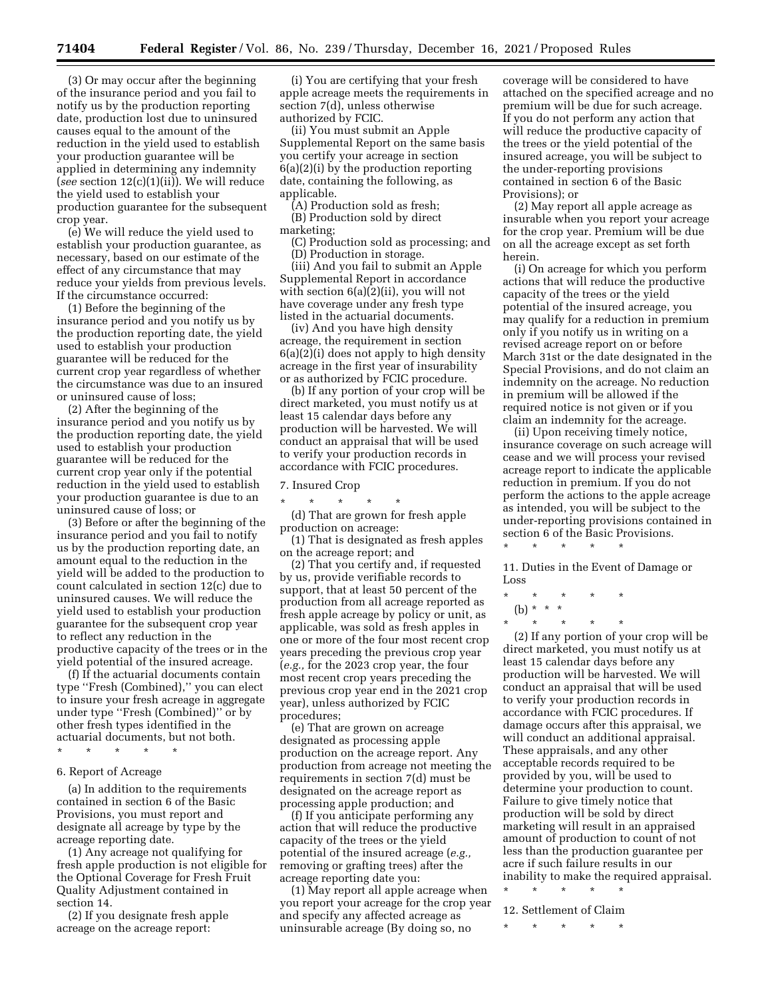(3) Or may occur after the beginning of the insurance period and you fail to notify us by the production reporting date, production lost due to uninsured causes equal to the amount of the reduction in the yield used to establish your production guarantee will be applied in determining any indemnity (*see* section 12(c)(1)(ii)). We will reduce the yield used to establish your production guarantee for the subsequent crop year.

(e) We will reduce the yield used to establish your production guarantee, as necessary, based on our estimate of the effect of any circumstance that may reduce your yields from previous levels. If the circumstance occurred:

(1) Before the beginning of the insurance period and you notify us by the production reporting date, the yield used to establish your production guarantee will be reduced for the current crop year regardless of whether the circumstance was due to an insured or uninsured cause of loss;

(2) After the beginning of the insurance period and you notify us by the production reporting date, the yield used to establish your production guarantee will be reduced for the current crop year only if the potential reduction in the yield used to establish your production guarantee is due to an uninsured cause of loss; or

(3) Before or after the beginning of the insurance period and you fail to notify us by the production reporting date, an amount equal to the reduction in the yield will be added to the production to count calculated in section 12(c) due to uninsured causes. We will reduce the yield used to establish your production guarantee for the subsequent crop year to reflect any reduction in the productive capacity of the trees or in the yield potential of the insured acreage.

(f) If the actuarial documents contain type ''Fresh (Combined),'' you can elect to insure your fresh acreage in aggregate under type ''Fresh (Combined)'' or by other fresh types identified in the actuarial documents, but not both.

\* \* \* \* \*

## 6. Report of Acreage

(a) In addition to the requirements contained in section 6 of the Basic Provisions, you must report and designate all acreage by type by the acreage reporting date.

(1) Any acreage not qualifying for fresh apple production is not eligible for the Optional Coverage for Fresh Fruit Quality Adjustment contained in section 14.

(2) If you designate fresh apple acreage on the acreage report:

(i) You are certifying that your fresh apple acreage meets the requirements in section 7(d), unless otherwise authorized by FCIC.

(ii) You must submit an Apple Supplemental Report on the same basis you certify your acreage in section 6(a)(2)(i) by the production reporting date, containing the following, as applicable.

(A) Production sold as fresh; (B) Production sold by direct

marketing;

(C) Production sold as processing; and (D) Production in storage.

(iii) And you fail to submit an Apple Supplemental Report in accordance with section 6(a)(2)(ii), you will not have coverage under any fresh type listed in the actuarial documents.

(iv) And you have high density acreage, the requirement in section 6(a)(2)(i) does not apply to high density acreage in the first year of insurability or as authorized by FCIC procedure.

(b) If any portion of your crop will be direct marketed, you must notify us at least 15 calendar days before any production will be harvested. We will conduct an appraisal that will be used to verify your production records in accordance with FCIC procedures.

## 7. Insured Crop

\* \* \* \* \*

(d) That are grown for fresh apple production on acreage:

(1) That is designated as fresh apples on the acreage report; and

(2) That you certify and, if requested by us, provide verifiable records to support, that at least 50 percent of the production from all acreage reported as fresh apple acreage by policy or unit, as applicable, was sold as fresh apples in one or more of the four most recent crop years preceding the previous crop year (*e.g.,* for the 2023 crop year, the four most recent crop years preceding the previous crop year end in the 2021 crop year), unless authorized by FCIC procedures;

(e) That are grown on acreage designated as processing apple production on the acreage report. Any production from acreage not meeting the requirements in section 7(d) must be designated on the acreage report as processing apple production; and

(f) If you anticipate performing any action that will reduce the productive capacity of the trees or the yield potential of the insured acreage (*e.g.,*  removing or grafting trees) after the acreage reporting date you:

(1) May report all apple acreage when you report your acreage for the crop year and specify any affected acreage as uninsurable acreage (By doing so, no

coverage will be considered to have attached on the specified acreage and no premium will be due for such acreage. If you do not perform any action that will reduce the productive capacity of the trees or the yield potential of the insured acreage, you will be subject to the under-reporting provisions contained in section 6 of the Basic Provisions); or

(2) May report all apple acreage as insurable when you report your acreage for the crop year. Premium will be due on all the acreage except as set forth herein.

(i) On acreage for which you perform actions that will reduce the productive capacity of the trees or the yield potential of the insured acreage, you may qualify for a reduction in premium only if you notify us in writing on a revised acreage report on or before March 31st or the date designated in the Special Provisions, and do not claim an indemnity on the acreage. No reduction in premium will be allowed if the required notice is not given or if you claim an indemnity for the acreage.

(ii) Upon receiving timely notice, insurance coverage on such acreage will cease and we will process your revised acreage report to indicate the applicable reduction in premium. If you do not perform the actions to the apple acreage as intended, you will be subject to the under-reporting provisions contained in section 6 of the Basic Provisions.

11. Duties in the Event of Damage or Loss

\* \* \* \* \*

\* \* \* \* \*

(b) \* \* \* \* \* \* \* \*

(2) If any portion of your crop will be direct marketed, you must notify us at least 15 calendar days before any production will be harvested. We will conduct an appraisal that will be used to verify your production records in accordance with FCIC procedures. If damage occurs after this appraisal, we will conduct an additional appraisal. These appraisals, and any other acceptable records required to be provided by you, will be used to determine your production to count. Failure to give timely notice that production will be sold by direct marketing will result in an appraised amount of production to count of not less than the production guarantee per acre if such failure results in our inability to make the required appraisal.

\* \* \* \* \* 12. Settlement of Claim

\* \* \* \* \*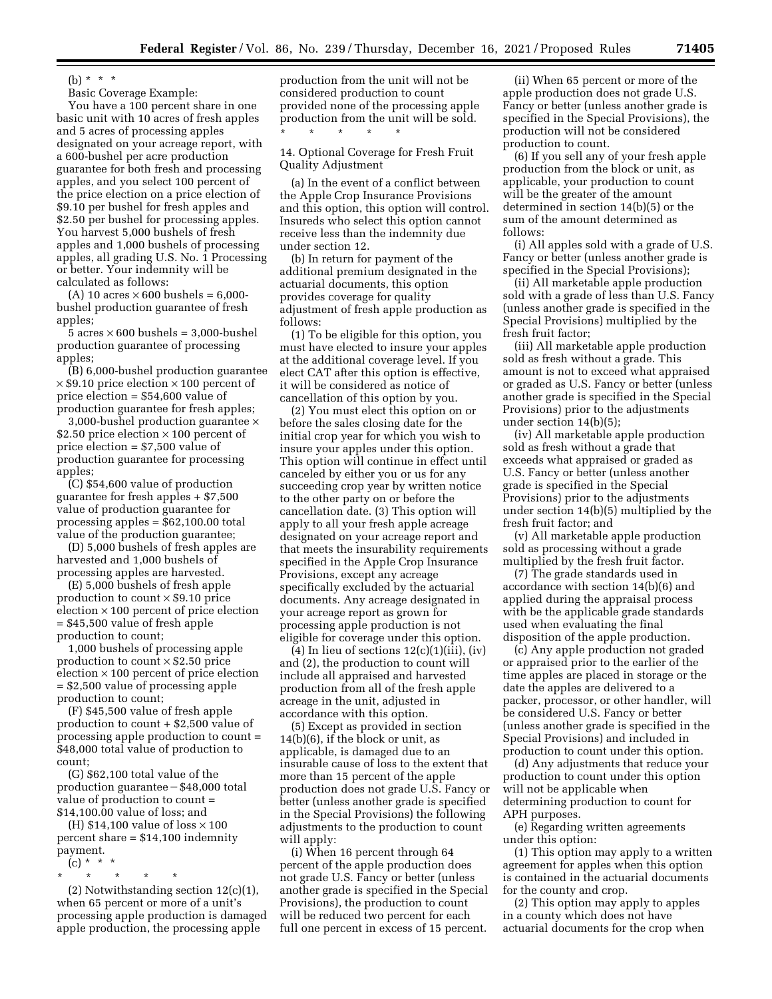(b)  $* * * *$ 

Basic Coverage Example:

You have a 100 percent share in one basic unit with 10 acres of fresh apples and 5 acres of processing apples designated on your acreage report, with a 600-bushel per acre production guarantee for both fresh and processing apples, and you select 100 percent of the price election on a price election of \$9.10 per bushel for fresh apples and \$2.50 per bushel for processing apples. You harvest 5,000 bushels of fresh apples and 1,000 bushels of processing apples, all grading U.S. No. 1 Processing or better. Your indemnity will be calculated as follows:

(A) 10 acres  $\times$  600 bushels = 6,000bushel production guarantee of fresh apples;

 $5 \text{ acres} \times 600 \text{ bushels} = 3,000\text{-bushel}$ production guarantee of processing apples;

(B) 6,000-bushel production guarantee  $\times$  \$9.10 price election  $\times$  100 percent of price election = \$54,600 value of production guarantee for fresh apples;

3,000-bushel production guarantee × \$2.50 price election  $\times$  100 percent of price election = \$7,500 value of production guarantee for processing apples;

(C) \$54,600 value of production guarantee for fresh apples + \$7,500 value of production guarantee for processing apples = \$62,100.00 total value of the production guarantee;

(D) 5,000 bushels of fresh apples are harvested and 1,000 bushels of processing apples are harvested.

(E) 5,000 bushels of fresh apple production to count  $\times$  \$9.10 price election  $\times$  100 percent of price election = \$45,500 value of fresh apple production to count;

1,000 bushels of processing apple production to count × \$2.50 price election  $\times$  100 percent of price election = \$2,500 value of processing apple production to count;

(F) \$45,500 value of fresh apple production to count + \$2,500 value of processing apple production to count = \$48,000 total value of production to count;

(G) \$62,100 total value of the  $production$  guarantee  $-$  \$48,000 total value of production to count = \$14,100.00 value of loss; and

(H)  $$14,100$  value of loss  $\times$  100 percent share = \$14,100 indemnity payment.

- (c) \* \* \*
- \* \* \* \* \*

(2) Notwithstanding section  $12(c)(1)$ , when 65 percent or more of a unit's processing apple production is damaged apple production, the processing apple

production from the unit will not be considered production to count provided none of the processing apple production from the unit will be sold. \* \* \* \* \*

14. Optional Coverage for Fresh Fruit Quality Adjustment

(a) In the event of a conflict between the Apple Crop Insurance Provisions and this option, this option will control. Insureds who select this option cannot receive less than the indemnity due under section 12.

(b) In return for payment of the additional premium designated in the actuarial documents, this option provides coverage for quality adjustment of fresh apple production as follows:

(1) To be eligible for this option, you must have elected to insure your apples at the additional coverage level. If you elect CAT after this option is effective, it will be considered as notice of cancellation of this option by you.

(2) You must elect this option on or before the sales closing date for the initial crop year for which you wish to insure your apples under this option. This option will continue in effect until canceled by either you or us for any succeeding crop year by written notice to the other party on or before the cancellation date. (3) This option will apply to all your fresh apple acreage designated on your acreage report and that meets the insurability requirements specified in the Apple Crop Insurance Provisions, except any acreage specifically excluded by the actuarial documents. Any acreage designated in your acreage report as grown for processing apple production is not eligible for coverage under this option.

(4) In lieu of sections  $12(c)(1)(iii)$ ,  $(iv)$ and (2), the production to count will include all appraised and harvested production from all of the fresh apple acreage in the unit, adjusted in accordance with this option.

(5) Except as provided in section 14(b)(6), if the block or unit, as applicable, is damaged due to an insurable cause of loss to the extent that more than 15 percent of the apple production does not grade U.S. Fancy or better (unless another grade is specified in the Special Provisions) the following adjustments to the production to count will apply:

(i) When 16 percent through 64 percent of the apple production does not grade U.S. Fancy or better (unless another grade is specified in the Special Provisions), the production to count will be reduced two percent for each full one percent in excess of 15 percent.

(ii) When 65 percent or more of the apple production does not grade U.S. Fancy or better (unless another grade is specified in the Special Provisions), the production will not be considered production to count.

(6) If you sell any of your fresh apple production from the block or unit, as applicable, your production to count will be the greater of the amount determined in section 14(b)(5) or the sum of the amount determined as follows:

(i) All apples sold with a grade of U.S. Fancy or better (unless another grade is specified in the Special Provisions);

(ii) All marketable apple production sold with a grade of less than U.S. Fancy (unless another grade is specified in the Special Provisions) multiplied by the fresh fruit factor;

(iii) All marketable apple production sold as fresh without a grade. This amount is not to exceed what appraised or graded as U.S. Fancy or better (unless another grade is specified in the Special Provisions) prior to the adjustments under section 14(b)(5);

(iv) All marketable apple production sold as fresh without a grade that exceeds what appraised or graded as U.S. Fancy or better (unless another grade is specified in the Special Provisions) prior to the adjustments under section 14(b)(5) multiplied by the fresh fruit factor; and

(v) All marketable apple production sold as processing without a grade multiplied by the fresh fruit factor.

(7) The grade standards used in accordance with section 14(b)(6) and applied during the appraisal process with be the applicable grade standards used when evaluating the final disposition of the apple production.

(c) Any apple production not graded or appraised prior to the earlier of the time apples are placed in storage or the date the apples are delivered to a packer, processor, or other handler, will be considered U.S. Fancy or better (unless another grade is specified in the Special Provisions) and included in production to count under this option.

(d) Any adjustments that reduce your production to count under this option will not be applicable when determining production to count for APH purposes.

(e) Regarding written agreements under this option:

(1) This option may apply to a written agreement for apples when this option is contained in the actuarial documents for the county and crop.

(2) This option may apply to apples in a county which does not have actuarial documents for the crop when